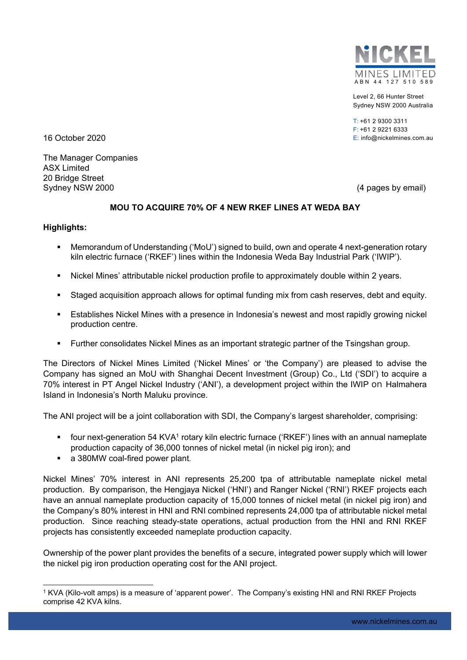

Level 2, 66 Hunter Street Sydney NSW 2000 Australia

 $T: +61293003311$ F: +61 2 9221 6333 16 October 2020 E: info@nickelmines.com.au

The Manager Companies ASX Limited 20 Bridge Street Sydney NSW 2000 (4 pages by email)

## **MOU TO ACQUIRE 70% OF 4 NEW RKEF LINES AT WEDA BAY**

## **Highlights:**

- Memorandum of Understanding ('MoU') signed to build, own and operate 4 next-generation rotary kiln electric furnace ('RKEF') lines within the Indonesia Weda Bay Industrial Park ('IWIP').
- Nickel Mines' attributable nickel production profile to approximately double within 2 years.
- Staged acquisition approach allows for optimal funding mix from cash reserves, debt and equity.
- Establishes Nickel Mines with a presence in Indonesia's newest and most rapidly growing nickel production centre.
- Further consolidates Nickel Mines as an important strategic partner of the Tsingshan group.

The Directors of Nickel Mines Limited ('Nickel Mines' or 'the Company') are pleased to advise the Company has signed an MoU with Shanghai Decent Investment (Group) Co., Ltd ('SDI') to acquire a 70% interest in PT Angel Nickel Industry ('ANI'), a development project within the IWIP on Halmahera Island in Indonesia's North Maluku province.

The ANI project will be a joint collaboration with SDI, the Company's largest shareholder, comprising:

- four next-generation 54 KVA1 rotary kiln electric furnace ('RKEF') lines with an annual nameplate production capacity of 36,000 tonnes of nickel metal (in nickel pig iron); and
- **a** 380MW coal-fired power plant.

Nickel Mines' 70% interest in ANI represents 25,200 tpa of attributable nameplate nickel metal production. By comparison, the Hengjaya Nickel ('HNI') and Ranger Nickel ('RNI') RKEF projects each have an annual nameplate production capacity of 15,000 tonnes of nickel metal (in nickel pig iron) and the Company's 80% interest in HNI and RNI combined represents 24,000 tpa of attributable nickel metal production. Since reaching steady-state operations, actual production from the HNI and RNI RKEF projects has consistently exceeded nameplate production capacity.

Ownership of the power plant provides the benefits of a secure, integrated power supply which will lower the nickel pig iron production operating cost for the ANI project.

<sup>-</sup>1 KVA (Kilo-volt amps) is a measure of 'apparent power'. The Company's existing HNI and RNI RKEF Projects comprise 42 KVA kilns.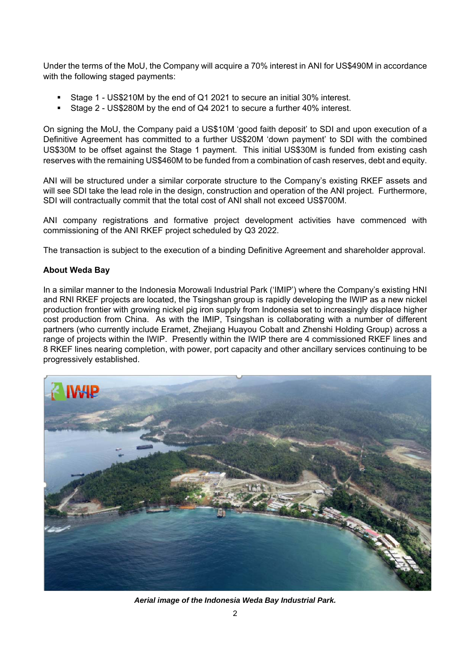Under the terms of the MoU, the Company will acquire a 70% interest in ANI for US\$490M in accordance with the following staged payments:

- Stage 1 US\$210M by the end of Q1 2021 to secure an initial 30% interest.
- Stage 2 US\$280M by the end of Q4 2021 to secure a further 40% interest.

On signing the MoU, the Company paid a US\$10M 'good faith deposit' to SDI and upon execution of a Definitive Agreement has committed to a further US\$20M 'down payment' to SDI with the combined US\$30M to be offset against the Stage 1 payment. This initial US\$30M is funded from existing cash reserves with the remaining US\$460M to be funded from a combination of cash reserves, debt and equity.

ANI will be structured under a similar corporate structure to the Company's existing RKEF assets and will see SDI take the lead role in the design, construction and operation of the ANI project. Furthermore, SDI will contractually commit that the total cost of ANI shall not exceed US\$700M.

ANI company registrations and formative project development activities have commenced with commissioning of the ANI RKEF project scheduled by Q3 2022.

The transaction is subject to the execution of a binding Definitive Agreement and shareholder approval.

## **About Weda Bay**

In a similar manner to the Indonesia Morowali Industrial Park ('IMIP') where the Company's existing HNI and RNI RKEF projects are located, the Tsingshan group is rapidly developing the IWIP as a new nickel production frontier with growing nickel pig iron supply from Indonesia set to increasingly displace higher cost production from China. As with the IMIP, Tsingshan is collaborating with a number of different partners (who currently include Eramet, Zhejiang Huayou Cobalt and Zhenshi Holding Group) across a range of projects within the IWIP. Presently within the IWIP there are 4 commissioned RKEF lines and 8 RKEF lines nearing completion, with power, port capacity and other ancillary services continuing to be progressively established.



*Aerial image of the Indonesia Weda Bay Industrial Park.*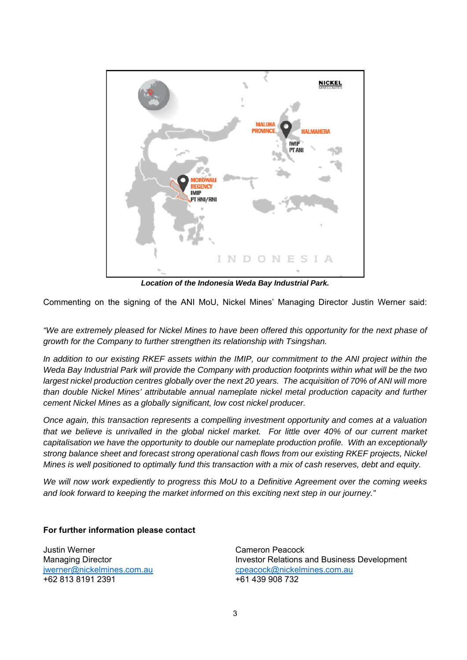

*Location of the Indonesia Weda Bay Industrial Park.* 

Commenting on the signing of the ANI MoU, Nickel Mines' Managing Director Justin Werner said:

*"We are extremely pleased for Nickel Mines to have been offered this opportunity for the next phase of growth for the Company to further strengthen its relationship with Tsingshan.* 

In addition to our existing RKEF assets within the IMIP, our commitment to the ANI project within the *Weda Bay Industrial Park will provide the Company with production footprints within what will be the two largest nickel production centres globally over the next 20 years. The acquisition of 70% of ANI will more than double Nickel Mines' attributable annual nameplate nickel metal production capacity and further cement Nickel Mines as a globally significant, low cost nickel producer.* 

*Once again, this transaction represents a compelling investment opportunity and comes at a valuation that we believe is unrivalled in the global nickel market. For little over 40% of our current market capitalisation we have the opportunity to double our nameplate production profile. With an exceptionally strong balance sheet and forecast strong operational cash flows from our existing RKEF projects, Nickel Mines is well positioned to optimally fund this transaction with a mix of cash reserves, debt and equity.* 

*We will now work expediently to progress this MoU to a Definitive Agreement over the coming weeks and look forward to keeping the market informed on this exciting next step in our journey."* 

## **For further information please contact**

Justin Werner Cameron Peacock +62 813 8191 2391 +61 439 908 732

Managing Director **Investor Relations and Business Development** jwerner@nickelmines.com.au **beider auces component community** cpeacock@nickelmines.com.au